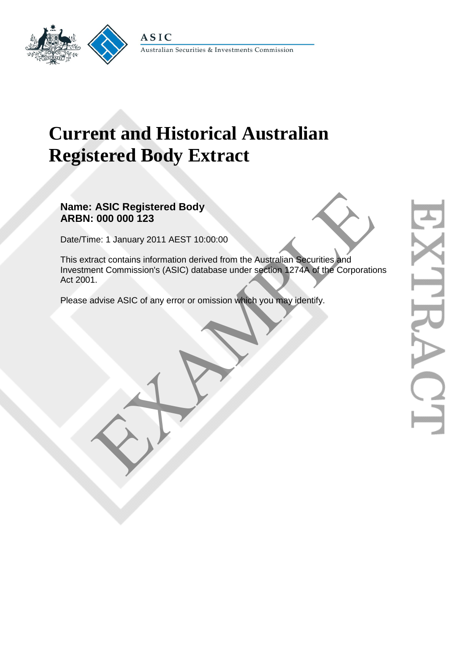

# **Current and Historical Australian Registered Body Extract**

**Name: ASIC Registered Body ARBN: 000 000 123** 

Date/Time: 1 January 2011 AEST 10:00:00

This extract contains information derived from the Australian Securities and Investment Commission's (ASIC) database under section 1274A of the Corporations Act 2001. ASIC Registered Body<br>
.: 000 000 123<br>
me: 1 January 2011 AEST 10:00:00<br>
ract contains information derived from the Australian Securities and<br>
ent Commission's (ASIC) database under section 1274A of the Corporatio<br>
1.<br>
daty

Please advise ASIC of any error or omission which you may identify.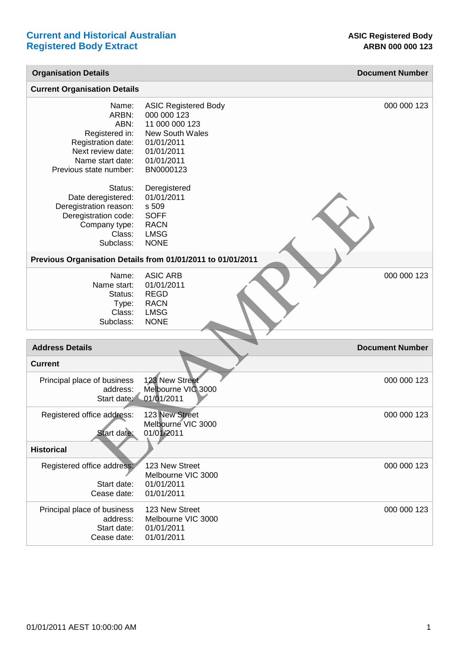| <b>Organisation Details</b>                                                                                                                                                                                                           |                                                                                                                                                                                                                    | <b>Document Number</b> |
|---------------------------------------------------------------------------------------------------------------------------------------------------------------------------------------------------------------------------------------|--------------------------------------------------------------------------------------------------------------------------------------------------------------------------------------------------------------------|------------------------|
| <b>Current Organisation Details</b>                                                                                                                                                                                                   |                                                                                                                                                                                                                    |                        |
| Name:<br>ARBN:<br>ABN:<br>Registered in:<br>Registration date:<br>Next review date:<br>Name start date:<br>Previous state number:<br>Status:<br>Date deregistered:<br>Deregistration reason:<br>Deregistration code:<br>Company type: | <b>ASIC Registered Body</b><br>000 000 123<br>11 000 000 123<br><b>New South Wales</b><br>01/01/2011<br>01/01/2011<br>01/01/2011<br>BN0000123<br>Deregistered<br>01/01/2011<br>s 509<br><b>SOFF</b><br><b>RACN</b> | 000 000 123            |
| Class:<br>Subclass:                                                                                                                                                                                                                   | <b>LMSG</b><br><b>NONE</b>                                                                                                                                                                                         |                        |
| Previous Organisation Details from 01/01/2011 to 01/01/2011                                                                                                                                                                           |                                                                                                                                                                                                                    |                        |
| Name:<br>Name start:<br>Status:<br>Type:<br>Class:<br>Subclass:                                                                                                                                                                       | <b>ASIC ARB</b><br>01/01/2011<br><b>REGD</b><br><b>RACN</b><br><b>LMSG</b><br><b>NONE</b>                                                                                                                          | 000 000 123            |
|                                                                                                                                                                                                                                       |                                                                                                                                                                                                                    |                        |
| <b>Address Details</b>                                                                                                                                                                                                                |                                                                                                                                                                                                                    | <b>Document Number</b> |
| <b>Current</b><br>Principal place of business<br>address:<br>Start date:                                                                                                                                                              | 123 New Street<br>Melbourne VIC 3000<br>01/01/2011                                                                                                                                                                 | 000 000 123            |
| Registered office address:<br>Start date:                                                                                                                                                                                             | 123 New Street<br>Melbourne VIC 3000<br>01/01/2011                                                                                                                                                                 | 000 000 123            |
| <b>Historical</b>                                                                                                                                                                                                                     |                                                                                                                                                                                                                    |                        |
| Registered office address:<br>Start date:<br>Cease date:                                                                                                                                                                              | 123 New Street<br>Melbourne VIC 3000<br>01/01/2011<br>01/01/2011                                                                                                                                                   | 000 000 123            |
| Principal place of business<br>address:<br>Start date:<br>Cease date:                                                                                                                                                                 | 123 New Street<br>Melbourne VIC 3000<br>01/01/2011<br>01/01/2011                                                                                                                                                   | 000 000 123            |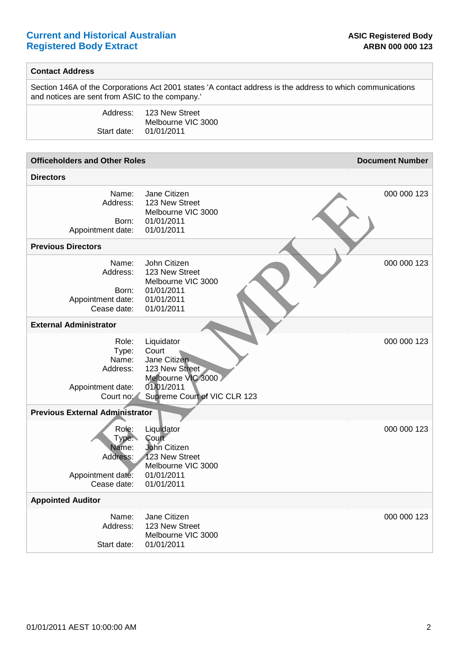## **Current and Historical Australian** *b* **Current and Historical Australian** *and Legistered Body* **Registered Body Extract ARBN 000 000 123**

#### **Contact Address**

Section 146A of the Corporations Act 2001 states 'A contact address is the address to which communications and notices are sent from ASIC to the company.'

| Address:    | 123 New Street     |
|-------------|--------------------|
|             | Melbourne VIC 3000 |
| Start date: | 01/01/2011         |

| <b>Officeholders and Other Roles</b>                                                |                                                                                                                           | <b>Document Number</b> |
|-------------------------------------------------------------------------------------|---------------------------------------------------------------------------------------------------------------------------|------------------------|
| <b>Directors</b>                                                                    |                                                                                                                           |                        |
| Name:<br>Address:<br>Born:<br>Appointment date:                                     | Jane Citizen<br>123 New Street<br>Melbourne VIC 3000<br>01/01/2011<br>01/01/2011                                          | 000 000 123            |
| <b>Previous Directors</b>                                                           |                                                                                                                           |                        |
| Name:<br>Address:<br>Born:<br>Appointment date:<br>Cease date:                      | John Citizen<br>123 New Street<br>Melbourne VIC 3000<br>01/01/2011<br>01/01/2011<br>01/01/2011                            | 000 000 123            |
| <b>External Administrator</b>                                                       |                                                                                                                           |                        |
| Role:<br>Type:<br>Name:<br>Address:<br>Appointment date:<br>Court no:               | Liquidator<br>Court<br>Jane Citizen<br>123 New Street<br>Melbourne VIC 3000<br>01/01/2011<br>Supreme Court of VIC CLR 123 | 000 000 123            |
| <b>Previous External Administrator</b>                                              |                                                                                                                           |                        |
| Role:<br>Type <sup>-</sup><br>Name:<br>Address:<br>Appointment date:<br>Cease date: | Liquidator<br><b>Court</b><br>John Citizen<br>123 New Street<br>Melbourne VIC 3000<br>01/01/2011<br>01/01/2011            | 000 000 123            |
| <b>Appointed Auditor</b>                                                            |                                                                                                                           |                        |
| Name:<br>Address:<br>Start date:                                                    | Jane Citizen<br>123 New Street<br>Melbourne VIC 3000<br>01/01/2011                                                        | 000 000 123            |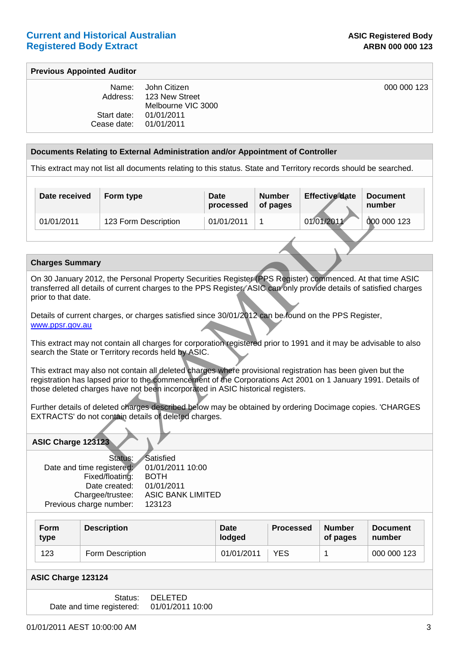000 000 123

#### **Previous Appointed Auditor**

| Name:       | John Citizen       |
|-------------|--------------------|
| Address:    | 123 New Street     |
|             | Melbourne VIC 3000 |
| Start date: | 01/01/2011         |
| Cease date: | 01/01/2011         |
|             |                    |

#### **Documents Relating to External Administration and/or Appointment of Controller**

This extract may not list all documents relating to this status. State and Territory records should be searched.

| Date received                                                                                                                                                                                                                                                                                                 | Form type                                                                                           | Date<br>processed | <b>Number</b><br>of pages | <b>Effective date</b> | <b>Document</b><br>number |  |  |  |
|---------------------------------------------------------------------------------------------------------------------------------------------------------------------------------------------------------------------------------------------------------------------------------------------------------------|-----------------------------------------------------------------------------------------------------|-------------------|---------------------------|-----------------------|---------------------------|--|--|--|
| 01/01/2011                                                                                                                                                                                                                                                                                                    | 123 Form Description                                                                                | 01/01/2011        | 1                         | 01/01/2011            | 000 000 123               |  |  |  |
|                                                                                                                                                                                                                                                                                                               |                                                                                                     |                   |                           |                       |                           |  |  |  |
|                                                                                                                                                                                                                                                                                                               |                                                                                                     |                   |                           |                       |                           |  |  |  |
| <b>Charges Summary</b>                                                                                                                                                                                                                                                                                        |                                                                                                     |                   |                           |                       |                           |  |  |  |
| On 30 January 2012, the Personal Property Securities Register (PPS Register) commenced. At that time ASIC<br>transferred all details of current charges to the PPS Register. ASIC can only provide details of satisfied charges<br>prior to that date.                                                        |                                                                                                     |                   |                           |                       |                           |  |  |  |
| www.ppsr.gov.au                                                                                                                                                                                                                                                                                               | Details of current charges, or charges satisfied since 30/01/2012 can be found on the PPS Register, |                   |                           |                       |                           |  |  |  |
| This extract may not contain all charges for corporation registered prior to 1991 and it may be advisable to also<br>search the State or Territory records held by ASIC.                                                                                                                                      |                                                                                                     |                   |                           |                       |                           |  |  |  |
| This extract may also not contain all deleted charges where provisional registration has been given but the<br>registration has lapsed prior to the commencement of the Corporations Act 2001 on 1 January 1991. Details of<br>those deleted charges have not been incorporated in ASIC historical registers. |                                                                                                     |                   |                           |                       |                           |  |  |  |
| Further details of deleted charges described below may be obtained by ordering Docimage copies. 'CHARGES<br>EXTRACTS' do not contain details of deleted charges.                                                                                                                                              |                                                                                                     |                   |                           |                       |                           |  |  |  |
| ASIC Charge 123123                                                                                                                                                                                                                                                                                            |                                                                                                     |                   |                           |                       |                           |  |  |  |
| Date and time registered:                                                                                                                                                                                                                                                                                     | Satisfied<br>Status:<br>01/01/2011 10:00<br>Eivod/flootim'<br>∟ר∩ס                                  |                   |                           |                       |                           |  |  |  |

#### **Charges Summary**

#### **ASIC Charge 123123**

| Status:                   | Satisfied                |
|---------------------------|--------------------------|
| Date and time registered: | 01/01/2011 10:00         |
| Fixed/floating:           | <b>BOTH</b>              |
| Date created:             | 01/01/2011               |
| Chargee/trustee:          | <b>ASIC BANK LIMITED</b> |
| Previous charge number:   | 123123                   |
|                           |                          |

| <b>Form</b><br>type | <b>Description</b> | <b>Date</b><br>lodged | <b>Processed</b> | <b>Number</b><br>of pages | <b>Document</b><br>number |
|---------------------|--------------------|-----------------------|------------------|---------------------------|---------------------------|
| 123                 | Form Description   | 01/01/2011            | YES              |                           | 000 000 123               |

#### **ASIC Charge 123124**

| Status:                   | DELETED          |
|---------------------------|------------------|
| Date and time registered: | 01/01/2011 10:00 |